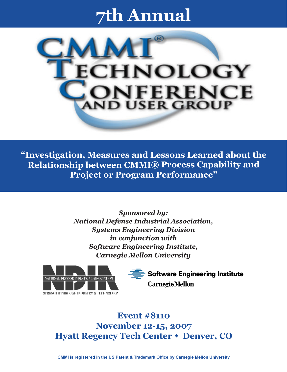# **7th Annual**



**"Investigation, Measures and Lessons Learned about the Relationship between CMMI® Process Capability and Project or Program Performance"**

> *Sponsored by: National Defense Industrial Association, Systems Engineering Division in conjunction with Software Engineering Institute, Carnegie Mellon University*





**Event #8110 November 12-15, 2007 Hyatt Regency Tech Center • Denver, CO** 

**CMMI is registered in the US Patent & Trademark Office by Carnegie Mellon University**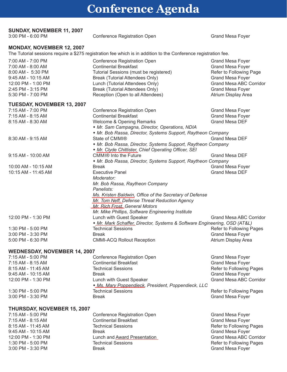## **Conference Agenda**

### **SUNDAY, NOVEMBER 11, 2007** 3:00 PM - 6:00 PM

Conference Registration Open Grand Mesa Foyer

#### **MONDAY, NOVEMBER 12, 2007**

The Tutorial sessions require a \$275 registration fee which is in addition to the Conference registration fee.

| 7:00 AM - 7:00 PM<br>7:00 AM - 8:00 AM<br>8:00 AM - 5:30 PM<br>9:45 AM - 10:15 AM | Conference Registration Open<br><b>Continental Breakfast</b><br>Tutorial Sessions (must be registered)<br>Break (Tutorial Attendees Only) | <b>Grand Mesa Foyer</b><br><b>Grand Mesa Foyer</b><br>Refer to Following Page<br><b>Grand Mesa Foyer</b> |
|-----------------------------------------------------------------------------------|-------------------------------------------------------------------------------------------------------------------------------------------|----------------------------------------------------------------------------------------------------------|
| 12:00 PM - 1:00 PM                                                                | Lunch (Tutorial Attendees Only)                                                                                                           | <b>Grand Mesa ABC Corridor</b>                                                                           |
| 2:45 PM - 3:15 PM                                                                 | Break (Tutorial Attendees Only)                                                                                                           | Grand Mesa Foyer                                                                                         |
| 5:30 PM - 7:00 PM                                                                 | Reception (Open to all Attendees)                                                                                                         | Atrium Display Area                                                                                      |
| <b>TUESDAY, NOVEMBER 13, 2007</b>                                                 |                                                                                                                                           |                                                                                                          |
| 7:15 AM - 7:00 PM                                                                 | Conference Registration Open                                                                                                              | Grand Mesa Foyer                                                                                         |
| 7:15 AM - 8:15 AM                                                                 | <b>Continental Breakfast</b>                                                                                                              | <b>Grand Mesa Foyer</b>                                                                                  |
| 8:15 AM - 8:30 AM                                                                 | Welcome & Opening Remarks                                                                                                                 | Grand Mesa DEF                                                                                           |
|                                                                                   | • Mr. Sam Campagna, Director, Operations, NDIA                                                                                            |                                                                                                          |
|                                                                                   | • Mr. Bob Rassa, Director, Systems Support, Raytheon Company                                                                              |                                                                                                          |
| 8:30 AM - 9:15 AM                                                                 | State of CMMI®                                                                                                                            | Grand Mesa DEF                                                                                           |
|                                                                                   | • Mr. Bob Rassa, Director, Systems Support, Raytheon Company<br>• Mr. Clyde Chittister, Chief Operating Officer, SEI                      |                                                                                                          |
| 9:15 AM - 10:00 AM                                                                | CMMI <sup>®</sup> Into the Future                                                                                                         | <b>Grand Mesa DEF</b>                                                                                    |
|                                                                                   | • Mr. Bob Rassa, Director, Systems Support, Raytheon Company                                                                              |                                                                                                          |
| 10:00 AM - 10:15 AM                                                               | <b>Break</b>                                                                                                                              | <b>Grand Mesa Foyer</b>                                                                                  |
| 10:15 AM - 11:45 AM                                                               | <b>Executive Panel</b>                                                                                                                    | Grand Mesa DEF                                                                                           |
|                                                                                   | Moderator:                                                                                                                                |                                                                                                          |
|                                                                                   | Mr. Bob Rassa, Raytheon Company                                                                                                           |                                                                                                          |
|                                                                                   | Panelists:                                                                                                                                |                                                                                                          |
|                                                                                   | Ms. Kristen Baldwin, Office of the Secretary of Defense                                                                                   |                                                                                                          |
|                                                                                   | Mr. Tom Neff, Defense Threat Reduction Agency                                                                                             |                                                                                                          |
|                                                                                   | Mr. Rich Frost, General Motors                                                                                                            |                                                                                                          |
|                                                                                   | Mr. Mike Phillips, Software Engineering Institute                                                                                         |                                                                                                          |
| 12:00 PM - 1:30 PM                                                                | Lunch with Guest Speaker                                                                                                                  | <b>Grand Mesa ABC Corridor</b>                                                                           |
|                                                                                   | • Mr. Mark Schaffer, Director, Systems & Software Engineering, OSD (AT&L)                                                                 |                                                                                                          |
| 1:30 PM - 5:00 PM                                                                 | <b>Technical Sessions</b>                                                                                                                 | Refer to Following Pages                                                                                 |
| 3:00 PM - 3:30 PM                                                                 | <b>Break</b>                                                                                                                              | <b>Grand Mesa Foyer</b>                                                                                  |
| 5:00 PM - 6:30 PM                                                                 | <b>CMMI-ACQ Rollout Reception</b>                                                                                                         | Atrium Display Area                                                                                      |
| <b>WEDNESDAY, NOVEMBER 14, 2007</b>                                               |                                                                                                                                           |                                                                                                          |
| 7:15 AM - 5:00 PM                                                                 | Conference Registration Open                                                                                                              | Grand Mesa Foyer                                                                                         |
| 7.45 and 0.45 and                                                                 | Continental Desaldeat                                                                                                                     | $O$ $S$ $A$ $M$ $S$ $A$ $F$ $N$ $S$                                                                      |

| 7:15 AM - 5:00 PM                  | <b>Conference Registration Open</b>                 | <b>Grand Mesa Foyer</b>        |
|------------------------------------|-----------------------------------------------------|--------------------------------|
| 7:15 AM - 8:15 AM                  | <b>Continental Breakfast</b>                        | <b>Grand Mesa Foyer</b>        |
| 8:15 AM - 11:45 AM                 | <b>Technical Sessions</b>                           | Refer to Following Pages       |
| 9:45 AM - 10:15 AM<br><b>Break</b> |                                                     | <b>Grand Mesa Foyer</b>        |
| 12:00 PM - 1:30 PM                 | Lunch with Guest Speaker                            | <b>Grand Mesa ABC Corridor</b> |
|                                    | • Ms. Mary Poppendieck, President, Poppendieck, LLC |                                |
| 1:30 PM - 5:00 PM                  | <b>Technical Sessions</b>                           | Refer to Following Pages       |
| 3:00 PM - 3:30 PM<br><b>Break</b>  |                                                     | <b>Grand Mesa Foyer</b>        |

### **THURSDAY, NOVEMBER 15, 2007**

| <b>Continental Breakfast</b><br>7:15 AM - 8:15 AM<br><b>Grand Mesa Foyer</b><br>8:15 AM - 11:45 AM<br><b>Technical Sessions</b><br><b>Grand Mesa Foyer</b><br>9:45 AM - 10:15 AM<br>Break<br>12:00 PM - 1:30 PM<br>Lunch and Award Presentation<br>1:30 PM - 5:00 PM<br><b>Technical Sessions</b><br><b>Grand Mesa Foyer</b><br>3:00 PM - 3:30 PM<br>Break | 7:15 AM - 5:00 PM | Conference Registration Open | Grand Mesa Foyer               |
|------------------------------------------------------------------------------------------------------------------------------------------------------------------------------------------------------------------------------------------------------------------------------------------------------------------------------------------------------------|-------------------|------------------------------|--------------------------------|
|                                                                                                                                                                                                                                                                                                                                                            |                   |                              |                                |
|                                                                                                                                                                                                                                                                                                                                                            |                   |                              | Refer to Following Pages       |
|                                                                                                                                                                                                                                                                                                                                                            |                   |                              |                                |
|                                                                                                                                                                                                                                                                                                                                                            |                   |                              | <b>Grand Mesa ABC Corridor</b> |
|                                                                                                                                                                                                                                                                                                                                                            |                   |                              | Refer to Following Pages       |
|                                                                                                                                                                                                                                                                                                                                                            |                   |                              |                                |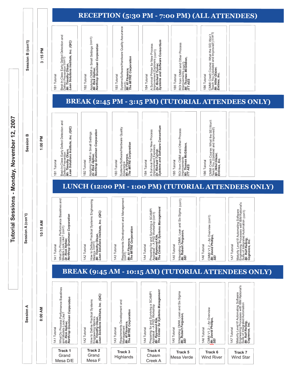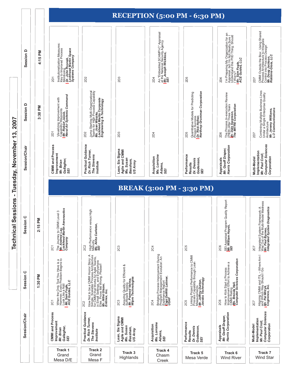|                               |                      |            |                                                                                                                                    |                                                                                                                                                                                                                           |                                                                                                                 |                                                                                                                                    | RECEPTION (5:00 PM - 6:30 PM)                                                                                             |                                                                                                                                                                                   |                                                                                                                                               |
|-------------------------------|----------------------|------------|------------------------------------------------------------------------------------------------------------------------------------|---------------------------------------------------------------------------------------------------------------------------------------------------------------------------------------------------------------------------|-----------------------------------------------------------------------------------------------------------------|------------------------------------------------------------------------------------------------------------------------------------|---------------------------------------------------------------------------------------------------------------------------|-----------------------------------------------------------------------------------------------------------------------------------------------------------------------------------|-----------------------------------------------------------------------------------------------------------------------------------------------|
|                               | Session D            | 4:15 PM    | Institutionalization Measures:<br>Monito improved Process<br>Monito improved Process<br>Dr. John Rusmak,<br>Systems Company<br>2D1 | <b>2D2</b>                                                                                                                                                                                                                | 2D <sub>3</sub>                                                                                                 | An "Embedded SCAMPI-C" Appraisal<br>at the National Security Agency<br><b>S/E, Joseph Wickless,</b><br>2D4                         | <b>2D5</b>                                                                                                                | I'm Preparing My Organization for an<br>Appraisal, but I'm Not Really Sure I<br>Understand this PIID Thing. Should<br>l Worry?<br>Mr. Sam Fogle,<br>ACE Guides, LLC<br><b>2D6</b> | CMMI Outside the Box: Using Shared<br>Process Architecture to Integrate<br>Mor Indi Into Process Design<br>Mob <i>lin's Giota, LLC</i><br>2D7 |
| 2007<br><u>(၁</u>             | Session D            | ΣĀ<br>3:30 | Visualizing Improvement with<br>Capability Waypoints<br><i>Mr. Robert Jacob,</i><br>Naval A <i>ir Systems Command</i><br>2D1       | Jump Starting Multi-Organizational<br>Teams for High Process Capability<br>Loc <i>kheed Martin Corporate</i><br>Engin <i>eering</i> & Technology<br><b>2D2</b>                                                            | <b>2D3</b>                                                                                                      | 2D4                                                                                                                                | Quantitative Models for Predicting<br>Project Success<br>Dr. Rick Hefner,<br>Northrop Grumman Corporation<br><b>2D5</b>   | The Process In-execution Review<br>(PIER) After Three Years<br><i>Mr. Dale Swanson,</i><br>The <i>MITRE Corporation</i><br>2D6                                                    | Combining Multiple Business Lines<br>Under a Single Enterprise Quality<br>Architecture<br>Mr. Jeremy Williams,<br>L-3 Communications<br>2D7   |
| November                      | <b>Session/Chair</b> |            | <b>CMMI and Process</b><br>Improvement<br>Gallagher,<br>Mr. Brian<br>SEI                                                           | Practical Guidance<br>Dr. Rich Turner,<br>The Stevens<br>Institute                                                                                                                                                        | Lean, Six Sigma<br>Agile and CMMI<br>Ms. Susan<br>Bassham,<br>US Army                                           | Ms. Lorraine<br>Acquisition<br>Adams,<br>SEI                                                                                       | Performance<br>Godenson,<br>SEI<br>Dr. Dennis<br>Results                                                                  | Harris Corporation<br>Mr. Geoff Draper,<br>Appraisals                                                                                                                             | <b>Computer Sciences</b><br>Implementation<br>Mr. Paul Croll,<br>Corporation<br>Multi-Model                                                   |
| Tuesday,<br>$\blacksquare$    |                      |            |                                                                                                                                    |                                                                                                                                                                                                                           |                                                                                                                 |                                                                                                                                    | <b>BREAK (3:00 PM - 3:30 PM)</b>                                                                                          |                                                                                                                                                                                   |                                                                                                                                               |
| ssions<br><b>Technical Se</b> | Session <sub>C</sub> | 2:15 PM    | The Joumey to CMMI Level 3<br><i>Mr. Andrew Lay,</i><br>Lockheed Martin Aeronautics<br>Company<br><b>2C1</b>                       | High<br>High Performance versus H<br>Maturity<br><b>Ms. A<i>nita Carleton,</i></b><br>SEI<br>202                                                                                                                          | <b>2C3</b>                                                                                                      | <b>2C4</b>                                                                                                                         | 205                                                                                                                       | SEI Appraisal Program Quality Report<br><i>Mr. William Hayes,</i><br>S <i>EI</i><br>206                                                                                           | Integrated System Framework: A<br>Way Out of the Multi-Model Madness<br><i>Mr. Paul Byrnes,</i><br>Integrated System Diagnostics<br>2C7       |
|                               | Session C            | 1:30 PM    | When the Only Tool You Have is a<br>Hammer, Every Problem Begins to<br>Look Like a Nail<br>AC <i>E Guides, LLC</i><br><b>2C1</b>   | How Notto be a CMMI Horror Story: A<br>for CMA: Statable Process Architecture<br>for CMA: Statable Process Architecture<br>in Small Settings, and Everywherens,<br>Else: Prove Me Wrong. Please!!<br>Entinex, Inc.<br>202 | Assuring Quality for Efficient &<br>Sufficient Testing<br><i>Mr. Pramod Varma,</i><br>Wipro Technologies<br>2C3 | Bridging Process Improvement During<br>Program Management Evolution: An<br>Experience Report<br>USAF DeWitt Latimer,<br><b>2C4</b> | Linking Project Performance to CMMI<br>Process Capability through Lean<br>Mr. Asufreynents<br>Mr. Acobs Technology<br>205 | How to Kick Start a Process<br>Improvement Effort to Achieve a<br>Ms. Brendia Hall,<br>Computer Sciences Corporation<br>206                                                       | Aligning CMMI and ITIL – Where Am I<br>and Which Way Should I Go<br>Cognence, Inc.<br>2C7                                                     |
|                               | Session/Chair        |            | <b>CMMI and Process</b><br>Improvement<br>Gallagher,<br>SEI<br>Mr. Brian                                                           | Practical Guidance<br>Dr. Rich Turner,<br>The Stevens<br>Institute                                                                                                                                                        | Lean, Six Sigma<br>Agile and CMMI<br>Ms. Susan<br>Bassham,<br>US Army                                           | Ms. Lorraine<br>Acquisition<br>Adams,<br>SEI                                                                                       | Performance<br>Godenson,<br>SEI<br>Dr. Dennis<br>Results                                                                  | Mr. Geoff Draper,<br>Harris Corporation<br>Appraisals                                                                                                                             | <b>Computer Sciences</b><br>Implementation<br>Mr. Paul Croll,<br>Corporation<br>Multi-Model                                                   |
|                               |                      |            | Track 1<br>Grand<br>Mesa D/E                                                                                                       | Track 2<br>Grand<br>Mesa F                                                                                                                                                                                                | Track 3<br>Highlands                                                                                            | Track 4<br>Chasm<br>Creek                                                                                                          | Track 5<br>Mesa Verde                                                                                                     | Track 6<br><b>Wind River</b>                                                                                                                                                      | Track 7<br>Wind Star                                                                                                                          |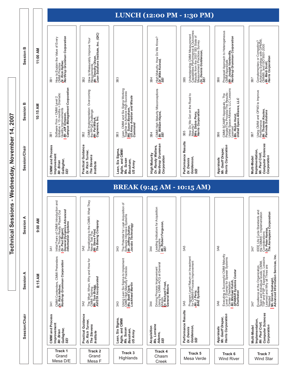Technical Sessions - Wednesday, November 14, 2007 **Technical Sessions - Wednesday, November 14, 2007**

|                      |                |                                                                                                                                                                       |                                                                                                                      |                                                                                                                                                |                                                                                                          | LUNCH (12:00 PM - 1:30 PM)                                                                                                                                                     |                                                                                                                                                                         |                                                                                                                                                                                                                                                                                                                    |
|----------------------|----------------|-----------------------------------------------------------------------------------------------------------------------------------------------------------------------|----------------------------------------------------------------------------------------------------------------------|------------------------------------------------------------------------------------------------------------------------------------------------|----------------------------------------------------------------------------------------------------------|--------------------------------------------------------------------------------------------------------------------------------------------------------------------------------|-------------------------------------------------------------------------------------------------------------------------------------------------------------------------|--------------------------------------------------------------------------------------------------------------------------------------------------------------------------------------------------------------------------------------------------------------------------------------------------------------------|
| Session B            | 11:00 AM       | How to Explain the Value of Every<br>CMMI Pradtice<br>Dr. Rick Hefner,<br>Northrop Grumman Corporation<br>3B1                                                         | How to Measurably Improve Your<br>Requirements<br>Requirements<br>Lean Solutions Institute, Inc. (QIC)<br>3B2        | 3B3                                                                                                                                            | High Maturity: How Do We Know?<br><i>Dr. Mike Konrad,</i><br>SE/<br>3B4                                  | Understanding CMMI Measurement<br>Rapath fires the 2007 IGB & Outcomes:<br>Measurement Practices Survey<br>Measurement Practices Survey<br><b>SD: Dennis Goldenson,</b><br>3B5 | Proposed Approach to Heterogeneous<br>CMM Appraisanterville,<br>Morthrop Grumman Corporation<br>3B6                                                                     | Complementary or Competing?<br>Achieving Synergy with OPM3®,<br>Mr. Mae, asco IS, O9001-2000<br>Mr. Marris Corporation<br>3B7                                                                                                                                                                                      |
| Session B            | ₹<br>10:15     | Software Firm + CMMI Level 2<br>Initiative + 15 months = Dramatic<br>Mr. Jity f Sprovennets<br>Mr. The Management Corporation<br>Campus Management Corporation<br>3B1 | CMMI Implementation: Overcoming<br>the PPQA Challenge<br><i>Mr. Pat Mitryk,</i><br>Cognence, <i>Inc.</i><br>3B2      | Lean, CMMI and Six Sigma Working<br>Together to Achieve High Success<br><i>UIS. Susan Bassham,</i><br>Co <i>mmand Watton and Missle</i><br>3B3 | CMMI High Maturity Misconceptions<br><i>Mr. William Hayes,</i><br>S <i>EI</i><br>3B4                     | How Do We Get on the Road to<br>Maturity?<br>Maturity?<br><b>Mrs. Debra Perry,</b><br>Harris Corporation<br>3B5                                                                | CMMI SCAMPI Appraisals – The<br>Unted Space Process/The Results<br>Unted Space Miance, LLC Lessons<br>Learned <i>hurst,</i><br><i>United Space Alliance, LLC</i><br>3B6 | Using CMMI and OPM3 to Improve<br>Performance<br><i>Mr. Thomas Keuten,</i><br><i>Pariveda Solutions</i><br>3B7                                                                                                                                                                                                     |
| <b>Session/Chair</b> |                | CMMI and Process<br>Improvement<br>Gallagher,<br>Mr. Brian<br>SEI                                                                                                     | Practical Guidance<br>Dr. Rich Turner,<br>The Stevens<br>Institute                                                   | Lean, Six Sigma<br>Agile, and CMMI<br>Ms. Susan<br>Bassham,<br>US Army                                                                         | Northrop Grumman<br>Dr. Randy Walters,<br><b>High Maturity</b><br>Corporation                            | Performance Results<br>Goldenson,<br>Dr. Dennis<br>SEI                                                                                                                         | Harris Corporation<br>Mr. Geoff Draper,<br>Appraisals                                                                                                                   | <b>Computer Sciences</b><br>Implementation,<br>Mr. Paul Croll,<br>Corporation<br>Multi-Model                                                                                                                                                                                                                       |
|                      |                |                                                                                                                                                                       |                                                                                                                      |                                                                                                                                                |                                                                                                          | <b>BREAK (9:45 AM - 10:15 AM)</b>                                                                                                                                              |                                                                                                                                                                         |                                                                                                                                                                                                                                                                                                                    |
|                      |                |                                                                                                                                                                       |                                                                                                                      |                                                                                                                                                |                                                                                                          |                                                                                                                                                                                |                                                                                                                                                                         |                                                                                                                                                                                                                                                                                                                    |
| Session A            | Σ<br>⋖<br>9:00 | Initial Fears of CMMI Introduction and<br>How Things Really Played Out<br>Dr. Paul Nugent,<br>Information Systems<br>3A1                                              | MMI: What They<br>Transitioning to the CMM<br>Never Told You<br><i>Mr. Steve Fried,</i><br>The Boeing Company<br>3A2 | The Potential for Lean Acquisition of<br>Software Intensive Systems<br><i>Mr. Jeffrey Dutton,</i><br>Jacobs Technology<br>3A3                  | Acquisition<br>Leading Indicators for A<br>Programs<br><i>Mr.</i> Robe <i>rt Ferguson,</i><br>SEI<br>3A4 | 3A5                                                                                                                                                                            | 3A6                                                                                                                                                                     | 3A7                                                                                                                                                                                                                                                                                                                |
| Session A            | Μ<br>8:15      | CMMI Contenders, CMMI Pretenders<br><b>Dr. Rick Hefner,</b><br>Northrop Grumman Corporation<br>3A1                                                                    | The What, When, Why and How for<br>CMMI Training<br><i>Mr. Tom Bragg,</i><br>AVISTA Incorporated<br>3A2              | Using Lean Six Sigma to Implement<br>CMMI High Maturity Practices<br><b>Ms. Beth Clark,</b><br>Loc <b>kheed Martin</b><br>3A3                  | Driving Process Improvement<br>Using the CMMI-ACQ at General<br>Dr. Rics<br>General Motors<br>3A4        | Program Level Return on Investment<br>for CMMI® Process Improvement<br><b>BAE Systems</b><br>3A5                                                                               | Executing a Successful CMMI Maturity<br>Center 3 Champi for Spawar Systems<br>Mr. Michael Kutch,<br>Mr. Michael Kutch,<br>CharleskR Systems Center<br>3A6               | IEEE Life Cycle Standards and<br>the CMMI® – Implementation<br>Dr. paiderations<br>Dr. paiderations<br>The Aerospace Corporation<br>3A7                                                                                                                                                                            |
| <b>Session/Chair</b> |                | <b>CMMI and Process</b><br>Improvement<br>Gallagher,<br>Mr. Brian<br>SEI                                                                                              | <b>Practical Guidance</b><br>Dr. Rich Turner,<br>The Stevens<br>Institute                                            | Lean, Six Sigma,<br>Agile, and CMMI<br>Ms. Susan<br>Bassham,<br>US Army                                                                        | Ms. Lorraine<br>Acquisition<br>Adams,<br>SEI                                                             | Performance Results<br>Goldenson,<br>Dr. Dennis<br>SEI                                                                                                                         | Harris Corporation<br>Mr. Geoff Draper,<br>Appraisals                                                                                                                   | Excellence at the Organization,<br>TSP maria Chor-Idual evels; CMMI,<br>Learned and Why all Three ares<br>Me ded and Why all Three are<br>Me ded information Services, Inc.<br>Advanced Information Services, Inc.<br><b>Computer Sciences</b><br>Implementation,<br>Mr. Paul Croll,<br>Corporation<br>Multi-Model |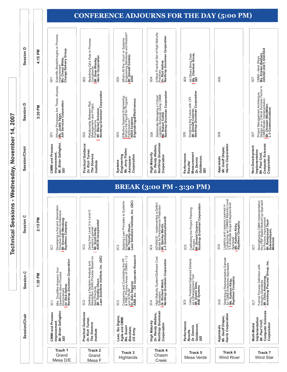Technical Sessions - Wednesday, November 14, 2007 **Technical Sessions - Wednesday, November 14, 2007**

| Session D     | ΣÑ<br>4:15 | Scientific Breakthroughs in Process<br>Improvement<br>Ms. Cheryl White,<br>Change Delivery Group<br>3D1                           | Redefining QA's Role in Process<br>Compliance<br><i>Mr. Dean Wooley,</i><br>Harris Corporation<br>3D2                                                       | What's All this 'chum' in Systems<br>Engineering Standards and Models!?<br><b>SAr.Conald Gantzer,</b><br>3D3                              | A More Practical Set of High Maturity<br>Practices<br>Dr. Rick Hefner,<br>Northrop Grumman Corporation<br>3D4                           | All Others Bring Data<br>Ms. Charlene Gross,<br>SEI<br>3D5                                                          | 3D6                                                                                                                                                                                    | CMMI—Next Steps<br>Ms. Kristen Baldwin,<br>ODUSD (A&T) SSE/SSA<br>3D7                                                                                                                                                                                                          |
|---------------|------------|-----------------------------------------------------------------------------------------------------------------------------------|-------------------------------------------------------------------------------------------------------------------------------------------------------------|-------------------------------------------------------------------------------------------------------------------------------------------|-----------------------------------------------------------------------------------------------------------------------------------------|---------------------------------------------------------------------------------------------------------------------|----------------------------------------------------------------------------------------------------------------------------------------------------------------------------------------|--------------------------------------------------------------------------------------------------------------------------------------------------------------------------------------------------------------------------------------------------------------------------------|
| Session D     | 3:30 PM    | Whose Processes Are These, Anyway<br><i>Ms. Judith Tejan,</i><br>AAI Services Corporation<br>3D1                                  | Relationship Between Risk<br>Management and Project<br>Mr. Warrance<br>Mc Worthrop Grumman Corporation<br>Northrop Grumman Corporation<br>3D2               | Effective Systems Engineering:<br>What's the Payoff for Program<br>Margrance?<br>MargraeringsEffectiveness<br>3D <sub>3</sub>             | Statistically Managing a Critical<br>Logistics Schedule Using CMMI<br><i>Mr. Robert Tuthill,</i><br>Northrop Grumman Corporation<br>3D4 | Predicting the Future with CPI<br>Mr. Donald Corpron,<br>Northrop Grumman Corporation<br>3D5                        | 3D6                                                                                                                                                                                    | Project Management Architecture<br>Design as a Critical Success Factor in<br>Mr. M. Infacte Implemation<br>Mr. M. Communications<br>L-3 Communications<br>3D7                                                                                                                  |
| Session/Chair |            | Mr. Brian Gallagher,<br>CMMI and Process<br>Improvement,<br>SEI                                                                   | Practical Guidance<br>Dr. Rich Turner,<br>The Stevens<br>Institute                                                                                          | Mr. Jerry Fisher,<br>Engineering<br>Corporation<br>Aerospace<br>Systems                                                                   | Northrop Grumman<br>Dr. Randy Walters,<br>High Maturity<br>Corporation                                                                  | Measurement<br>Performance<br>Goldenson,<br>Dr. Dennis<br>Results/<br>SEI                                           | Harris Corporation<br>Mr. Geoff Draper,<br>Appraisals                                                                                                                                  | <b>Computer Sciences</b><br>Non-Development<br>Implementation<br>Mr. Paul Croll,<br>Corporation                                                                                                                                                                                |
|               |            |                                                                                                                                   |                                                                                                                                                             |                                                                                                                                           |                                                                                                                                         | <b>BREAK (3:00 PM - 3:30 PM)</b>                                                                                    |                                                                                                                                                                                        |                                                                                                                                                                                                                                                                                |
|               |            |                                                                                                                                   |                                                                                                                                                             |                                                                                                                                           |                                                                                                                                         |                                                                                                                     |                                                                                                                                                                                        |                                                                                                                                                                                                                                                                                |
| ession C<br>ഗ | 2:15 PM    | Developing a Second Generation<br>Directive System Architecture<br><i>Mr. Kenneth Weinberg,</i><br>Ra <i>ytheon Company</i><br>3C | Going from Level 3 to Level 5:<br>Lessons Learned<br><i>Mr. Scott Derby,</i><br>AVISTA <i>Incorporated</i><br>302                                           | Applying Lean Principles to Systems<br>Engineering<br>Lean Solutions Institute, Inc. (QIC)<br>Lean Solutions Institute, Inc. (QIC)<br>3C3 | ADVANCE - Implementing a Defect<br>Model for Performance Prediction<br>Mr. Stanley Martin,<br>L-3 Communications/IS<br>3C4              | Calibrating the Project Planning<br>Process<br>Mr. Donald Corpron,<br>Northrop Grumman Corporation<br>305           | 1 Lessons Leamed in<br>an CMMI® Maturity Level<br>Scope Enteprise-level<br>ompany<br>Kirby,<br>Logistics and L<br>Conducting an<br>3 Full-Model S<br>Appraisal<br>Ms. Kathryn A<br>306 | 3C7                                                                                                                                                                                                                                                                            |
| Session C     | ᅙ<br>1:30  | Improvement<br>Dr. Rick Hefner,<br>Northrop Grumman Corporation<br>Mrs. Doubtfire Answers Your<br>Questions about Process<br>3C1  | Defining a Decision Analysis and<br>Resolution (DAR) Process Based on<br>Mr. Timadhy Os<br>Mr. Timadhy Oson,<br>Lean Solutions Institute, Inc. (QIC)<br>3C2 | Comparing and Contrasting the PP<br>& PMC Process Areas of CMMI v 1.2<br>Dr. Aldo DJM<br>ABB, Inc. - US Corporate Research<br>3C3         | High Maturity System/Software Cost<br>Estimation<br>Dr. Ric <i>hard Welch,</i><br>Northrop Grumman Corporation<br>3C4                   | Using Predicted Delivered Defects<br>as a Management Tool<br><i>Mr. Dustin Sin</i> rs,<br><i>BAE Systems</i><br>305 | Selecting a Representative Sample<br>for CMMI Enterprise Appraisals<br>Ms. Ka <i>thryn Kirby,</i><br>Raytheon Company<br>306                                                           | Strengthening CMMI Implementation<br>to Proces Based Bottom-up Approach<br>to Proces Based Centrup Approach<br>Mr. Ramprasad Tayur<br>Motoroia<br>Formal Process Definition with<br>Industry Standards<br><i>Mr. Chris Armstrong,<br/>Armstrong Process Group, Inc.</i><br>3C7 |
| Session/Chair |            | Mr. Brian Gallagher,<br>CMMI and Process<br>Improvement<br>SEI                                                                    | Practical Guidance<br>Dr. Rich Turner,<br>The Stevens<br>Institute                                                                                          | Lean, Six Sigma<br>Agile and CMMI<br>Ms. Susan<br>Bassham,<br>US Army                                                                     | Northrop Grumman<br>Dr. Randy Walters,<br>High Maturity<br>Corporation                                                                  | Performance<br>Goldenson,<br>Dr. Dennis<br>Results<br>SEI                                                           | Harris Corporation<br>Mr. Geoff Draper,<br>Appraisals                                                                                                                                  | <b>Computer Sciences</b><br>Implementation<br>Mr. Paul Croll,<br>Corporation<br>Multi-Model                                                                                                                                                                                    |

**CONFERENCE ADJOURNS FOR THE DAY (5:00 PM)**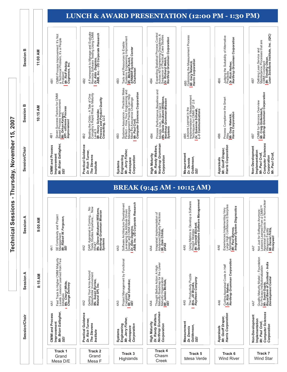Technical Sessions - Thursday, November 15, 2007 **Technical Sessions - Thursday, November 15, 2007**

|               |            |                                                                                                                                                 |                                                                                                                                                                  |                                                                                                                                                                                          |                                                                                                                                                                                                 | <b>LUNCH &amp; AWARD PRESENTATION (12:00 PM - 1:30 PM)</b>                                                                                    |                                                                                                                                                                              |                                                                                                                                                                              |
|---------------|------------|-------------------------------------------------------------------------------------------------------------------------------------------------|------------------------------------------------------------------------------------------------------------------------------------------------------------------|------------------------------------------------------------------------------------------------------------------------------------------------------------------------------------------|-------------------------------------------------------------------------------------------------------------------------------------------------------------------------------------------------|-----------------------------------------------------------------------------------------------------------------------------------------------|------------------------------------------------------------------------------------------------------------------------------------------------------------------------------|------------------------------------------------------------------------------------------------------------------------------------------------------------------------------|
| ≃<br>Session  | ξ<br>11:00 | CMMI Process Improvement: It's Not<br>a Technical Problem, It's a People<br><i>Mr. Reiff Reitzig,</i><br>Cognence, <i>I</i> nc.<br>4B1          | A Framework to Manage and Evaluate<br>Demote Software Testing Using CMMI<br>ABB, Inc. - US Corporate Research<br>4B2                                             | Tools and Resources to Enable<br>Systems Engineering Improvement<br>Mr. Michael Kutch,<br>Charleston<br>4B3                                                                              | Expanding Statistical Process Control<br>Across All Engineering Disciplines: A<br>Dr. Richard of Medical Case Studies<br>Dr. Richard Grumman Corporation<br>Northrop Grumman Corporation<br>4B4 | 4B5<br>Optimizing the Measurement Process<br><i>Mr. Gary Natwick,</i><br>Harris <i>Corporation</i>                                            | Judging the Suitability of Alternative<br>Practices<br>Dr. Rick Hefner,<br>Northrop Grumman Corporation<br>4B6                                                               | Defining Lean Service and<br>Maintenance Processes that are<br>Maintenance Processes that<br><i>Mr. Timothy Dison,</i><br>Lean <i>Solutions Institute, Inc. (QIC)</i><br>4B7 |
| ≃<br>Session  | ₹<br>10:15 | Seven Success Factors for CMMI<br>Based Process Improvement<br>WP: -e <i>than Kalayci,</i><br>XP: -e <i>than Kalayci,</i><br>Improvement<br>4B1 | Beating the Odds – A Tale of One<br>Company's Rapid Rise to Maturity<br>Level 5<br>Mr. Henry Schneider,<br>Process and Product Quality<br>Consulting, LLC<br>4B2 | Systems Assurance – Practices Make<br>Managr – Hrv Hackes Can Hing and<br>Managr – Hrv Hackes Can Hing and<br>Meet the Assurance Challenge<br>Computer Sciences Corporation<br>4B3       | Process Performance Baselines and<br>Models: Duh, I Don't Get It<br>Ms. Drane Mizukami-Williams,<br>Systems<br>4B4                                                                              | 485<br>Implementation of Measurement<br>Implementation of Measurement<br>Techniques for CMMI GP 2.8<br>LP: Communications,                    | Process Compliance the Smart<br>Mr. 'Gary Natwick,<br>Harris Corporation<br>4B6<br>Vay                                                                                       | CMMI for Services Overview<br><i>Mr. Craig Hollenbach,</i><br>Northrop Grumman Corporation<br>4B7                                                                            |
| Session/Chair |            | Mr. Brian Gallagher,<br>CMMI and Process<br>Improvement<br>SEI                                                                                  | Practical Guidance<br>Dr. Rich Turner,<br>The Stevens<br>Institute                                                                                               | Mr. Jerry Fisher,<br>Engineering<br>Corporation<br>Aerospace<br>Systems                                                                                                                  | Northrop Grumman<br>Mr. Randy Walters,<br>High Maturity<br>Corporation                                                                                                                          | Measurement<br>Goldenson,<br>Dr. Dennis<br>SEI                                                                                                | Harris Corporation<br>Mr. Geoff Draper,<br>Appraisals                                                                                                                        | <b>Computer Sciences</b><br>Non-Development<br>Implementation<br>Mr. Paul Croll,<br>Mr. Paul Croll,<br>Corporation                                                           |
|               |            |                                                                                                                                                 |                                                                                                                                                                  |                                                                                                                                                                                          |                                                                                                                                                                                                 | <b>BREAK (9:45 AM - 10:15 AM)</b>                                                                                                             |                                                                                                                                                                              |                                                                                                                                                                              |
| ⋖<br>Session  | 9:00 AN    | SE Complexity and Project<br>Management<br><i>Mr. Robert W. Ferguson,</i><br>S <i>EI</i><br>4A1                                                 | DAR: Appraisal is Coming No<br>What's Studies Anywhere, Now<br>Wis. Diane Mizukami-Williams,<br>Ms. Diano Grumman Mission<br>Systems<br>4A2                      | Software Architecture Development<br>Leveraging the Attribute Driven<br>Dr.signe Dra ChiMI Methodologies<br>Dr.signe Dr. US Corporate Research<br>ABB, Inc. US Corporate Research<br>4A3 | Integrated Implementation of<br>Advanced Maturity Practices<br><i>Mr. Dale Childs,</i><br>DFAS<br>4A4                                                                                           | Management<br>a Software<br>$\Omega$<br>Using Metrics to Develop<br>Project Strategy<br>Mr. Donald Beckett,<br>Quantitative Software M<br>4A5 | ting Very<br>Enterprise<br>Experiences Implementing Very<br>Large High Confidence Enterprise<br>Mr. Paul Byrnes,<br>Mr. Paul Byrnes,<br>Integrated System Diagnostics<br>4A6 | Not Just for Software Anymore:<br>Appraisal on Pred From a CMMI'''<br>Appraisal on Pred From a CMMI'''<br>Weapons Facility<br>Honeywell<br>4A7                               |
| ⋖<br>Session  | 8:15 AM    | Fast Track to Higher CMMI Maturity<br>Levels: Lessons Learned from Five<br>Mis Chers<br>Change Delivery<br>4A1                                  | Getting Your Arms Around<br>Stakeholder Involvement<br><b>Ms. Susan Byrnes,</b><br><b>Natural SPI, Inc.</b><br>4A2                                               | Project Management by Functional<br>Capability<br><i>Mr. Fred Schenker,</i><br>S <i>EI</i><br>4A3                                                                                        | Thought Before Action: A High<br>Maturity Roadmap for the Lower<br>Maturity Organization<br>S <i>EI James McHale,</i><br>4A4                                                                    | The Productivity Puzzle<br>Mrs. Jill Brooks,<br>Raytheon Company<br>4A5                                                                       | Cutting Appraisal Costs in Half<br>Dr. Rick Hefner,<br>Northrop Grumman Corporation<br>4A6                                                                                   | Quality Maturity Model – Foundation<br>for Process Institutionalization<br>Mr. Sunant Guyts,<br>Mr. Sunant Center<br>Development Center<br>4A7                               |
| Session/Chair |            | Mr. Brian Gallagher,<br>SEI<br><b>CMMI</b> and Process<br>Improvement                                                                           | Practical Guidance<br>Dr. Rich Turner,<br>The Stevens<br>Institute                                                                                               | Mr. Jerry Fisher,<br>Systems<br>Engineering<br>Corporation<br>Aerospace                                                                                                                  | Northrop Grumman<br>Dr. Randy Walters,<br>High Maturity<br>Corporation                                                                                                                          | Measurement<br>Goldenson,<br>Dr. Dennis<br>SEI                                                                                                | Harris Corporation<br>Appraisals<br><i>Mr. Geoff Draper,</i>                                                                                                                 | <b>Computer Sciences</b><br>Non-Development<br>Implementation<br>Mr. Paul Croll,<br>Corporation                                                                              |
|               |            | Track 1<br>Grand<br>Mesa D/E                                                                                                                    | Track <sub>2</sub><br>Grand<br>Mesa F                                                                                                                            | Track <sub>3</sub><br>Highlands                                                                                                                                                          | <b>Track 4</b><br>Chasm<br>Creek                                                                                                                                                                | Track 5<br>Mesa Verde                                                                                                                         | Track 6<br><b>Wind River</b>                                                                                                                                                 | Track 7<br>Wind Star                                                                                                                                                         |